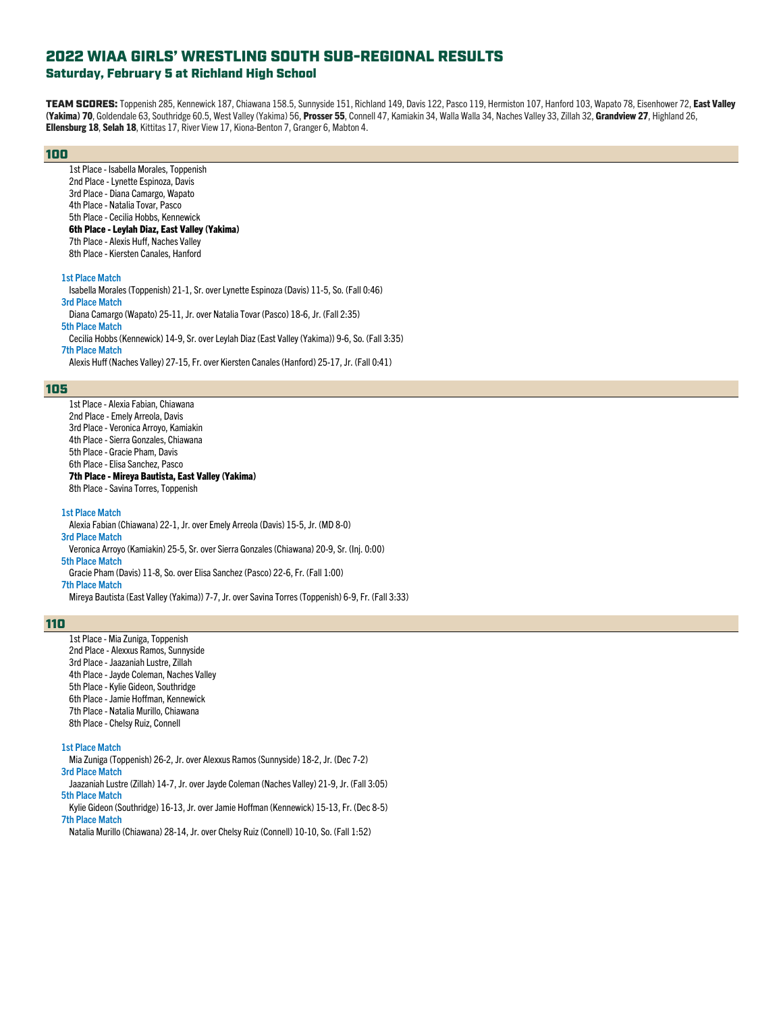# Saturday, February 5 at Richland High School

TEAM SCORES: Toppenish 285, Kennewick 187, Chiawana 158.5, Sunnyside 151, Richland 149, Davis 122, Pasco 119, Hermiston 107, Hanford 103, Wapato 78, Eisenhower 72, East Valley (Yakima) 70, Goldendale 63, Southridge 60.5, West Valley (Yakima) 56, Prosser 55, Connell 47, Kamiakin 34, Walla Walla 34, Naches Valley 33, Zillah 32, Grandview 27, Highland 26, Ellensburg 18, Selah 18, Kittitas 17, River View 17, Kiona-Benton 7, Granger 6, Mabton 4.

### 100

1st Place - Isabella Morales, Toppenish 2nd Place - Lynette Espinoza, Davis 3rd Place - Diana Camargo, Wapato 4th Place - Natalia Tovar, Pasco 5th Place - Cecilia Hobbs, Kennewick 6th Place - Leylah Diaz, East Valley (Yakima) 7th Place - Alexis Huff, Naches Valley 8th Place - Kiersten Canales, Hanford

### **1st Place Match**

Isabella Morales (Toppenish) 21-1, Sr. over Lynette Espinoza (Davis) 11-5, So. (Fall 0:46) **3rd Place Match**

Diana Camargo (Wapato) 25-11, Jr. over Natalia Tovar (Pasco) 18-6, Jr. (Fall 2:35) **5th Place Match**

Cecilia Hobbs (Kennewick) 14-9, Sr. over Leylah Diaz (East Valley (Yakima)) 9-6, So. (Fall 3:35)

#### **7th Place Match**

Alexis Huff (Naches Valley) 27-15, Fr. over Kiersten Canales (Hanford) 25-17, Jr. (Fall 0:41)

# 105

1st Place - Alexia Fabian, Chiawana 2nd Place - Emely Arreola, Davis 3rd Place - Veronica Arroyo, Kamiakin 4th Place - Sierra Gonzales, Chiawana 5th Place - Gracie Pham, Davis 6th Place - Elisa Sanchez, Pasco 7th Place - Mireya Bautista, East Valley (Yakima) 8th Place - Savina Torres, Toppenish

#### **1st Place Match**

Alexia Fabian (Chiawana) 22-1, Jr. over Emely Arreola (Davis) 15-5, Jr. (MD 8-0) **3rd Place Match**

Veronica Arroyo (Kamiakin) 25-5, Sr. over Sierra Gonzales (Chiawana) 20-9, Sr. (Inj. 0:00) **5th Place Match**

Gracie Pham (Davis) 11-8, So. over Elisa Sanchez (Pasco) 22-6, Fr. (Fall 1:00)

# **7th Place Match**

Mireya Bautista (East Valley (Yakima)) 7-7, Jr. over Savina Torres (Toppenish) 6-9, Fr. (Fall 3:33)

### 110

1st Place - Mia Zuniga, Toppenish 2nd Place - Alexxus Ramos, Sunnyside 3rd Place - Jaazaniah Lustre, Zillah 4th Place - Jayde Coleman, Naches Valley 5th Place - Kylie Gideon, Southridge 6th Place - Jamie Hoffman, Kennewick 7th Place - Natalia Murillo, Chiawana

8th Place - Chelsy Ruiz, Connell

#### **1st Place Match**

Mia Zuniga (Toppenish) 26-2, Jr. over Alexxus Ramos (Sunnyside) 18-2, Jr. (Dec 7-2) **3rd Place Match**

Jaazaniah Lustre (Zillah) 14-7, Jr. over Jayde Coleman (Naches Valley) 21-9, Jr. (Fall 3:05) **5th Place Match**

Kylie Gideon (Southridge) 16-13, Jr. over Jamie Hoffman (Kennewick) 15-13, Fr. (Dec 8-5)

# **7th Place Match**

Natalia Murillo (Chiawana) 28-14, Jr. over Chelsy Ruiz (Connell) 10-10, So. (Fall 1:52)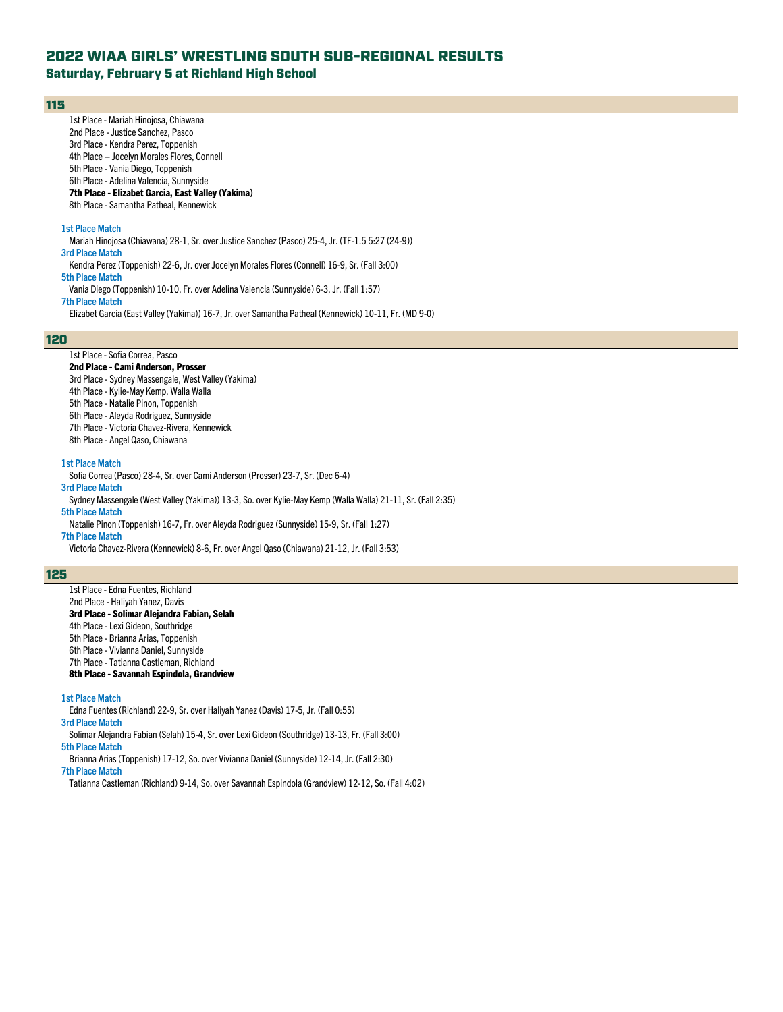# Saturday, February 5 at Richland High School

### 115

1st Place - Mariah Hinojosa, Chiawana 2nd Place - Justice Sanchez, Pasco 3rd Place - Kendra Perez, Toppenish 4th Place – Jocelyn Morales Flores, Connell 5th Place - Vania Diego, Toppenish 6th Place - Adelina Valencia, Sunnyside 7th Place - Elizabet Garcia, East Valley (Yakima) 8th Place - Samantha Patheal, Kennewick **1st Place Match**

Mariah Hinojosa (Chiawana) 28-1, Sr. over Justice Sanchez (Pasco) 25-4, Jr. (TF-1.5 5:27 (24-9)) **3rd Place Match** Kendra Perez (Toppenish) 22-6, Jr. over Jocelyn Morales Flores(Connell) 16-9, Sr. (Fall 3:00) **5th Place Match** Vania Diego (Toppenish) 10-10, Fr. over Adelina Valencia (Sunnyside) 6-3, Jr. (Fall 1:57) **7th Place Match**

Elizabet Garcia (East Valley (Yakima)) 16-7, Jr. over Samantha Patheal (Kennewick) 10-11, Fr. (MD 9-0)

### 120

# 1st Place - Sofia Correa, Pasco

2nd Place - Cami Anderson, Prosser 3rd Place - Sydney Massengale, West Valley (Yakima) 4th Place - Kylie-May Kemp, Walla Walla 5th Place - Natalie Pinon, Toppenish 6th Place - Aleyda Rodriguez, Sunnyside 7th Place - Victoria Chavez-Rivera, Kennewick 8th Place - Angel Qaso, Chiawana

#### **1st Place Match**

Sofia Correa (Pasco) 28-4, Sr. over Cami Anderson (Prosser) 23-7, Sr. (Dec 6-4) **3rd Place Match**

Sydney Massengale (West Valley (Yakima)) 13-3, So. over Kylie-May Kemp (Walla Walla) 21-11, Sr. (Fall 2:35)

# **5th Place Match**

Natalie Pinon (Toppenish) 16-7, Fr. over Aleyda Rodriguez (Sunnyside) 15-9, Sr. (Fall 1:27) **7th Place Match**

Victoria Chavez-Rivera (Kennewick) 8-6, Fr. over Angel Qaso (Chiawana) 21-12, Jr. (Fall 3:53)

### 125

1st Place - Edna Fuentes, Richland 2nd Place - Haliyah Yanez, Davis 3rd Place - Solimar Alejandra Fabian, Selah 4th Place - Lexi Gideon, Southridge 5th Place - Brianna Arias, Toppenish 6th Place - Vivianna Daniel, Sunnyside 7th Place - Tatianna Castleman, Richland 8th Place - Savannah Espindola, Grandview

#### **1st Place Match**

Edna Fuentes (Richland) 22-9, Sr. over Haliyah Yanez (Davis) 17-5, Jr. (Fall 0:55)

**3rd Place Match**

Solimar Alejandra Fabian (Selah) 15-4, Sr. over Lexi Gideon (Southridge) 13-13, Fr. (Fall 3:00)

**5th Place Match**

Brianna Arias (Toppenish) 17-12, So. over Vivianna Daniel (Sunnyside) 12-14, Jr. (Fall 2:30)

**7th Place Match**

Tatianna Castleman (Richland) 9-14, So. over Savannah Espindola (Grandview) 12-12, So. (Fall 4:02)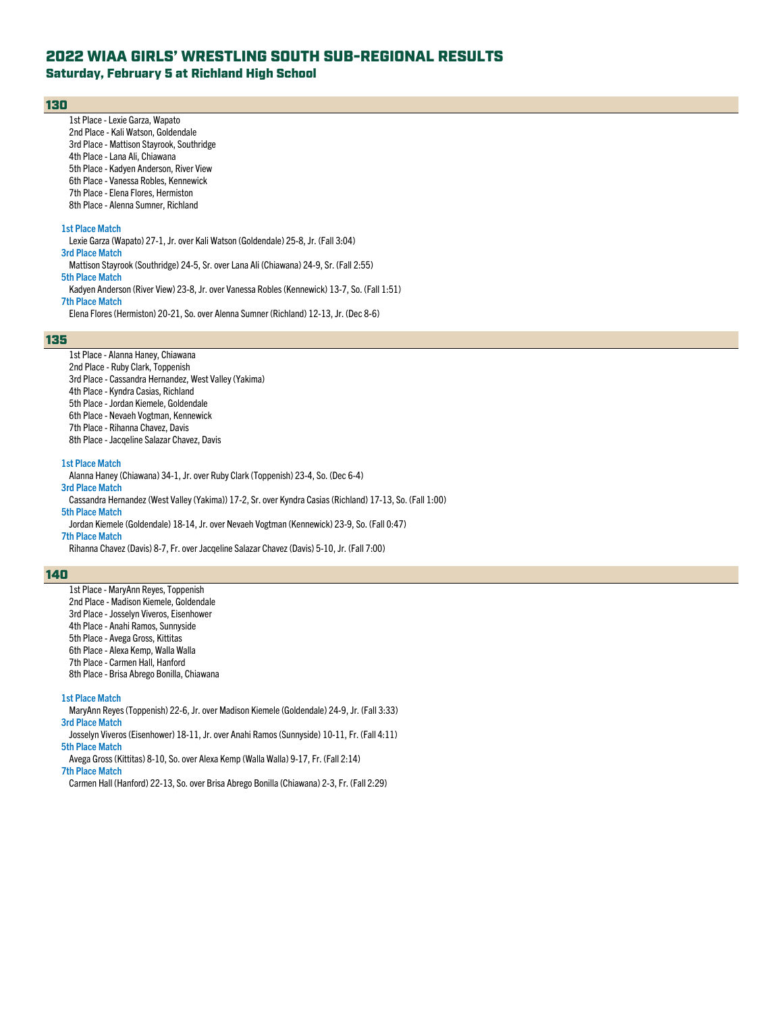Saturday, February 5 at Richland High School

### 130

1st Place - Lexie Garza, Wapato 2nd Place - Kali Watson, Goldendale 3rd Place - Mattison Stayrook, Southridge 4th Place - Lana Ali, Chiawana 5th Place - Kadyen Anderson, River View 6th Place - Vanessa Robles, Kennewick 7th Place - Elena Flores, Hermiston 8th Place - Alenna Sumner, Richland **1st Place Match** Lexie Garza (Wapato) 27-1, Jr. over Kali Watson (Goldendale) 25-8, Jr. (Fall 3:04) **3rd Place Match** Mattison Stayrook (Southridge) 24-5, Sr. over Lana Ali (Chiawana) 24-9, Sr. (Fall 2:55) **5th Place Match** Kadyen Anderson (River View) 23-8, Jr. over Vanessa Robles (Kennewick) 13-7, So. (Fall 1:51) **7th Place Match** Elena Flores (Hermiston) 20-21, So. over Alenna Sumner (Richland) 12-13, Jr. (Dec 8-6)

### 135

1st Place - Alanna Haney, Chiawana 2nd Place - Ruby Clark, Toppenish 3rd Place - Cassandra Hernandez, West Valley (Yakima) 4th Place - Kyndra Casias, Richland 5th Place - Jordan Kiemele, Goldendale 6th Place - Nevaeh Vogtman, Kennewick 7th Place - Rihanna Chavez, Davis 8th Place - Jacqeline Salazar Chavez, Davis

# **1st Place Match**

Alanna Haney (Chiawana) 34-1, Jr. over Ruby Clark (Toppenish) 23-4, So. (Dec 6-4) **3rd Place Match**

Cassandra Hernandez (West Valley (Yakima)) 17-2, Sr. over Kyndra Casias (Richland) 17-13, So. (Fall 1:00)

# **5th Place Match**

Jordan Kiemele (Goldendale) 18-14, Jr. over Nevaeh Vogtman (Kennewick) 23-9, So. (Fall 0:47) **7th Place Match**

Rihanna Chavez (Davis) 8-7, Fr. over Jacqeline Salazar Chavez (Davis) 5-10, Jr. (Fall 7:00)

### 140

1st Place - MaryAnn Reyes, Toppenish 2nd Place - Madison Kiemele, Goldendale 3rd Place - Josselyn Viveros, Eisenhower 4th Place - Anahi Ramos, Sunnyside 5th Place - Avega Gross, Kittitas 6th Place - Alexa Kemp, Walla Walla 7th Place - Carmen Hall, Hanford 8th Place - Brisa Abrego Bonilla, Chiawana

#### **1st Place Match**

MaryAnn Reyes (Toppenish) 22-6, Jr. over Madison Kiemele (Goldendale) 24-9, Jr. (Fall 3:33) **3rd Place Match**

Josselyn Viveros (Eisenhower) 18-11, Jr. over Anahi Ramos (Sunnyside) 10-11, Fr. (Fall 4:11) **5th Place Match**

Avega Gross (Kittitas) 8-10, So. over Alexa Kemp (Walla Walla) 9-17, Fr. (Fall 2:14)

**7th Place Match**

Carmen Hall (Hanford) 22-13, So. over Brisa Abrego Bonilla (Chiawana) 2-3, Fr. (Fall 2:29)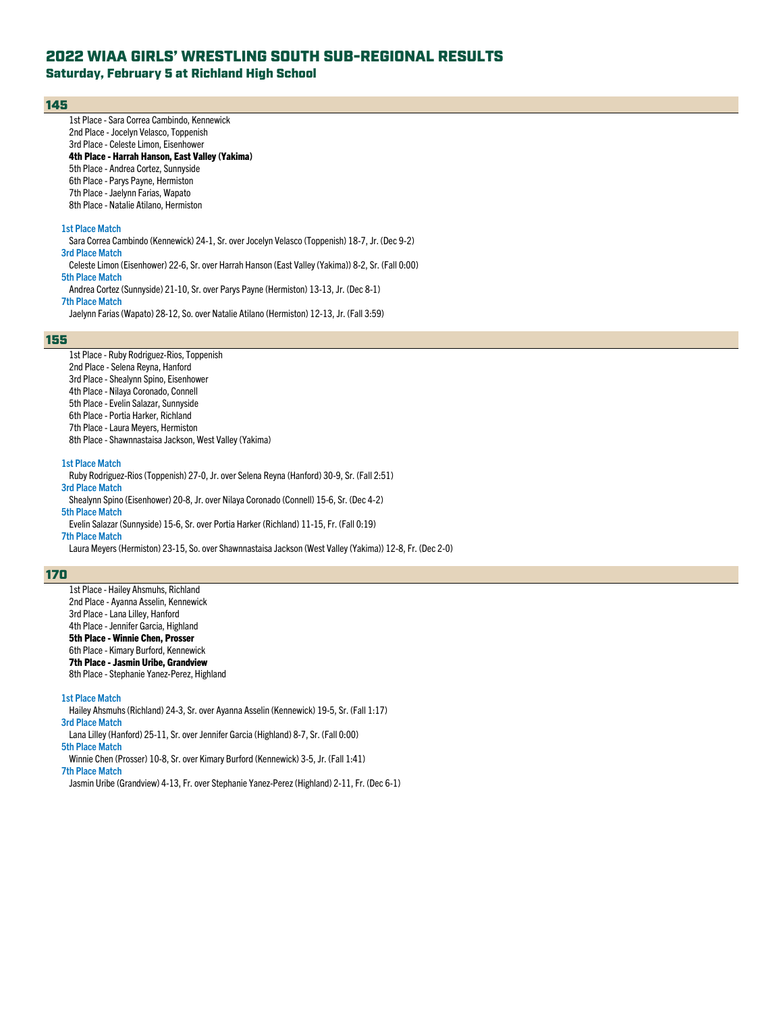Saturday, February 5 at Richland High School

### 145

1st Place - Sara Correa Cambindo, Kennewick 2nd Place - Jocelyn Velasco, Toppenish 3rd Place - Celeste Limon, Eisenhower 4th Place - Harrah Hanson, East Valley (Yakima) 5th Place - Andrea Cortez, Sunnyside 6th Place - Parys Payne, Hermiston 7th Place - Jaelynn Farias, Wapato 8th Place - Natalie Atilano, Hermiston **1st Place Match** Sara Correa Cambindo (Kennewick) 24-1, Sr. over Jocelyn Velasco (Toppenish) 18-7, Jr. (Dec 9-2) **3rd Place Match** Celeste Limon (Eisenhower) 22-6, Sr. over Harrah Hanson (East Valley (Yakima)) 8-2, Sr. (Fall 0:00) **5th Place Match** Andrea Cortez (Sunnyside) 21-10, Sr. over Parys Payne (Hermiston) 13-13, Jr. (Dec 8-1)

**7th Place Match**

Jaelynn Farias (Wapato) 28-12, So. over Natalie Atilano (Hermiston) 12-13, Jr. (Fall 3:59)

### 155

1st Place - Ruby Rodriguez-Rios, Toppenish 2nd Place - Selena Reyna, Hanford 3rd Place - Shealynn Spino, Eisenhower 4th Place - Nilaya Coronado, Connell 5th Place - Evelin Salazar, Sunnyside 6th Place - Portia Harker, Richland 7th Place - Laura Meyers, Hermiston 8th Place - Shawnnastaisa Jackson, West Valley (Yakima)

#### **1st Place Match**

Ruby Rodriguez-Rios (Toppenish) 27-0, Jr. over Selena Reyna (Hanford) 30-9, Sr. (Fall 2:51) **3rd Place Match** Shealynn Spino (Eisenhower) 20-8, Jr. over Nilaya Coronado (Connell) 15-6, Sr. (Dec 4-2) **5th Place Match**

Evelin Salazar (Sunnyside) 15-6, Sr. over Portia Harker (Richland) 11-15, Fr. (Fall 0:19) **7th Place Match**

Laura Meyers (Hermiston) 23-15, So. over Shawnnastaisa Jackson (West Valley (Yakima)) 12-8, Fr. (Dec 2-0)

### 170

1st Place - Hailey Ahsmuhs, Richland 2nd Place - Ayanna Asselin, Kennewick 3rd Place - Lana Lilley, Hanford 4th Place - Jennifer Garcia, Highland 5th Place - Winnie Chen, Prosser 6th Place - Kimary Burford, Kennewick 7th Place - Jasmin Uribe, Grandview 8th Place - Stephanie Yanez-Perez, Highland

#### **1st Place Match**

Hailey Ahsmuhs(Richland) 24-3, Sr. over Ayanna Asselin (Kennewick) 19-5, Sr. (Fall 1:17) **3rd Place Match**

Lana Lilley (Hanford) 25-11, Sr. over Jennifer Garcia (Highland) 8-7, Sr. (Fall 0:00)

**5th Place Match**

Winnie Chen (Prosser) 10-8, Sr. over Kimary Burford (Kennewick) 3-5, Jr. (Fall 1:41)

**7th Place Match**

Jasmin Uribe (Grandview) 4-13, Fr. over Stephanie Yanez-Perez (Highland) 2-11, Fr. (Dec 6-1)